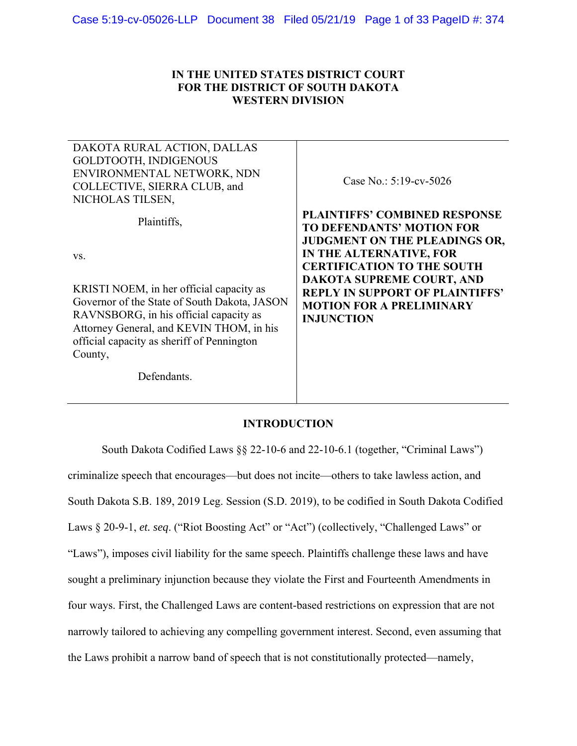# **IN THE UNITED STATES DISTRICT COURT FOR THE DISTRICT OF SOUTH DAKOTA WESTERN DIVISION**

| DAKOTA RURAL ACTION, DALLAS<br>GOLDTOOTH, INDIGENOUS<br>ENVIRONMENTAL NETWORK, NDN<br>COLLECTIVE, SIERRA CLUB, and<br>NICHOLAS TILSEN,                                                                                                  | Case No.: $5:19$ -cv-5026                                                                                                                                                        |
|-----------------------------------------------------------------------------------------------------------------------------------------------------------------------------------------------------------------------------------------|----------------------------------------------------------------------------------------------------------------------------------------------------------------------------------|
| Plaintiffs,<br>VS.                                                                                                                                                                                                                      | <b>PLAINTIFFS' COMBINED RESPONSE</b><br><b>TO DEFENDANTS' MOTION FOR</b><br><b>JUDGMENT ON THE PLEADINGS OR,</b><br>IN THE ALTERNATIVE, FOR<br><b>CERTIFICATION TO THE SOUTH</b> |
| KRISTI NOEM, in her official capacity as<br>Governor of the State of South Dakota, JASON<br>RAVNSBORG, in his official capacity as<br>Attorney General, and KEVIN THOM, in his<br>official capacity as sheriff of Pennington<br>County, | DAKOTA SUPREME COURT, AND<br><b>REPLY IN SUPPORT OF PLAINTIFFS'</b><br><b>MOTION FOR A PRELIMINARY</b><br><b>INJUNCTION</b>                                                      |
| Defendants.                                                                                                                                                                                                                             |                                                                                                                                                                                  |

# **INTRODUCTION**

South Dakota Codified Laws §§ 22-10-6 and 22-10-6.1 (together, "Criminal Laws") criminalize speech that encourages—but does not incite—others to take lawless action, and South Dakota S.B. 189, 2019 Leg. Session (S.D. 2019), to be codified in South Dakota Codified Laws § 20-9-1, *et. seq*. ("Riot Boosting Act" or "Act") (collectively, "Challenged Laws" or "Laws"), imposes civil liability for the same speech. Plaintiffs challenge these laws and have sought a preliminary injunction because they violate the First and Fourteenth Amendments in four ways. First, the Challenged Laws are content-based restrictions on expression that are not narrowly tailored to achieving any compelling government interest. Second, even assuming that the Laws prohibit a narrow band of speech that is not constitutionally protected—namely,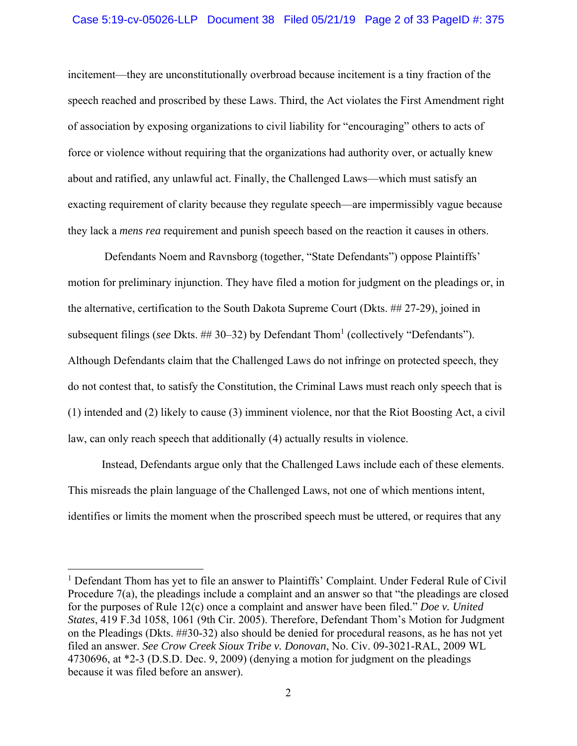### Case 5:19-cv-05026-LLP Document 38 Filed 05/21/19 Page 2 of 33 PageID #: 375

incitement—they are unconstitutionally overbroad because incitement is a tiny fraction of the speech reached and proscribed by these Laws. Third, the Act violates the First Amendment right of association by exposing organizations to civil liability for "encouraging" others to acts of force or violence without requiring that the organizations had authority over, or actually knew about and ratified, any unlawful act. Finally, the Challenged Laws—which must satisfy an exacting requirement of clarity because they regulate speech—are impermissibly vague because they lack a *mens rea* requirement and punish speech based on the reaction it causes in others.

 Defendants Noem and Ravnsborg (together, "State Defendants") oppose Plaintiffs' motion for preliminary injunction. They have filed a motion for judgment on the pleadings or, in the alternative, certification to the South Dakota Supreme Court (Dkts. ## 27-29), joined in subsequent filings (*see* Dkts. ## 30–32) by Defendant Thom<sup>1</sup> (collectively "Defendants"). Although Defendants claim that the Challenged Laws do not infringe on protected speech, they do not contest that, to satisfy the Constitution, the Criminal Laws must reach only speech that is (1) intended and (2) likely to cause (3) imminent violence, nor that the Riot Boosting Act, a civil law, can only reach speech that additionally (4) actually results in violence.

Instead, Defendants argue only that the Challenged Laws include each of these elements. This misreads the plain language of the Challenged Laws, not one of which mentions intent, identifies or limits the moment when the proscribed speech must be uttered, or requires that any

<sup>&</sup>lt;sup>1</sup> Defendant Thom has yet to file an answer to Plaintiffs' Complaint. Under Federal Rule of Civil Procedure 7(a), the pleadings include a complaint and an answer so that "the pleadings are closed for the purposes of Rule 12(c) once a complaint and answer have been filed." *Doe v. United States*, 419 F.3d 1058, 1061 (9th Cir. 2005). Therefore, Defendant Thom's Motion for Judgment on the Pleadings (Dkts. ##30-32) also should be denied for procedural reasons, as he has not yet filed an answer. *See Crow Creek Sioux Tribe v. Donovan*, No. Civ. 09-3021-RAL, 2009 WL 4730696, at \*2-3 (D.S.D. Dec. 9, 2009) (denying a motion for judgment on the pleadings because it was filed before an answer).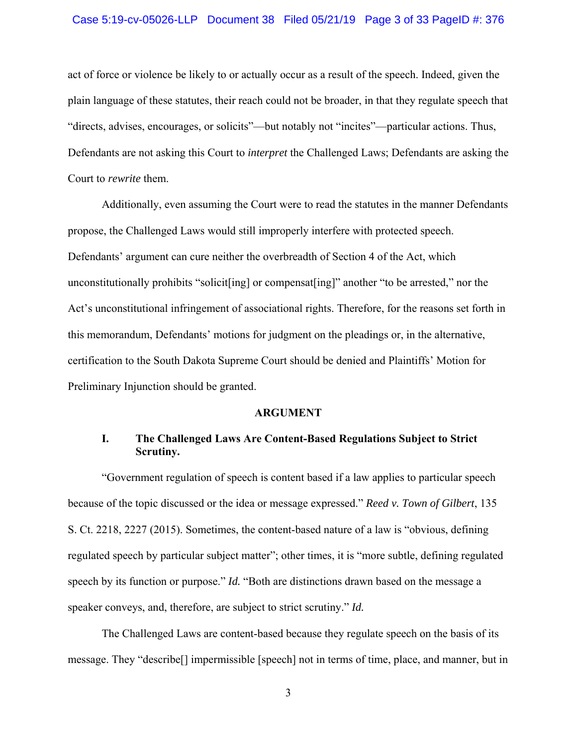### Case 5:19-cv-05026-LLP Document 38 Filed 05/21/19 Page 3 of 33 PageID #: 376

act of force or violence be likely to or actually occur as a result of the speech. Indeed, given the plain language of these statutes, their reach could not be broader, in that they regulate speech that "directs, advises, encourages, or solicits"—but notably not "incites"—particular actions. Thus, Defendants are not asking this Court to *interpret* the Challenged Laws; Defendants are asking the Court to *rewrite* them.

Additionally, even assuming the Court were to read the statutes in the manner Defendants propose, the Challenged Laws would still improperly interfere with protected speech. Defendants' argument can cure neither the overbreadth of Section 4 of the Act, which unconstitutionally prohibits "solicit[ing] or compensat[ing]" another "to be arrested," nor the Act's unconstitutional infringement of associational rights. Therefore, for the reasons set forth in this memorandum, Defendants' motions for judgment on the pleadings or, in the alternative, certification to the South Dakota Supreme Court should be denied and Plaintiffs' Motion for Preliminary Injunction should be granted.

#### **ARGUMENT**

# **I. The Challenged Laws Are Content-Based Regulations Subject to Strict Scrutiny.**

"Government regulation of speech is content based if a law applies to particular speech because of the topic discussed or the idea or message expressed." *Reed v. Town of Gilbert*, 135 S. Ct. 2218, 2227 (2015). Sometimes, the content-based nature of a law is "obvious, defining regulated speech by particular subject matter"; other times, it is "more subtle, defining regulated speech by its function or purpose." *Id.* "Both are distinctions drawn based on the message a speaker conveys, and, therefore, are subject to strict scrutiny." *Id.*

The Challenged Laws are content-based because they regulate speech on the basis of its message. They "describe[] impermissible [speech] not in terms of time, place, and manner, but in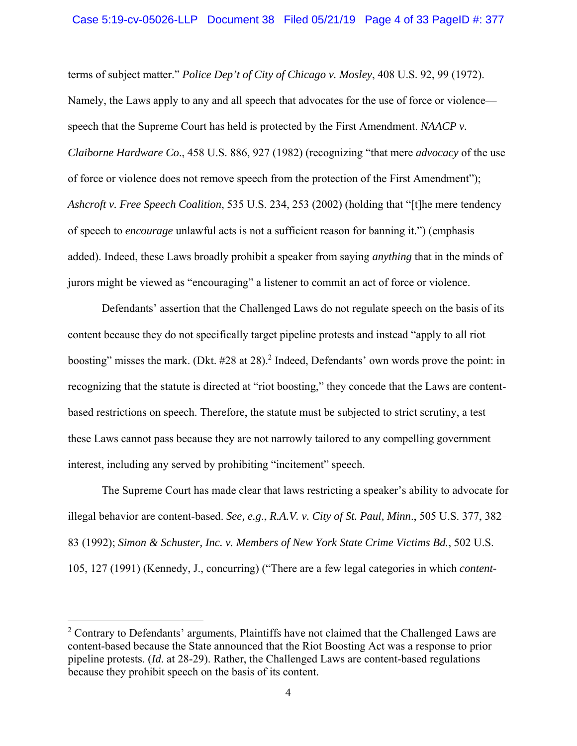terms of subject matter." *Police Dep't of City of Chicago v. Mosley*, 408 U.S. 92, 99 (1972). Namely, the Laws apply to any and all speech that advocates for the use of force or violence speech that the Supreme Court has held is protected by the First Amendment. *NAACP v. Claiborne Hardware Co*., 458 U.S. 886, 927 (1982) (recognizing "that mere *advocacy* of the use of force or violence does not remove speech from the protection of the First Amendment"); *Ashcroft v. Free Speech Coalition*, 535 U.S. 234, 253 (2002) (holding that "[t]he mere tendency of speech to *encourage* unlawful acts is not a sufficient reason for banning it.") (emphasis added). Indeed, these Laws broadly prohibit a speaker from saying *anything* that in the minds of jurors might be viewed as "encouraging" a listener to commit an act of force or violence.

Defendants' assertion that the Challenged Laws do not regulate speech on the basis of its content because they do not specifically target pipeline protests and instead "apply to all riot boosting" misses the mark. (Dkt. #28 at 28).<sup>2</sup> Indeed, Defendants' own words prove the point: in recognizing that the statute is directed at "riot boosting," they concede that the Laws are contentbased restrictions on speech. Therefore, the statute must be subjected to strict scrutiny, a test these Laws cannot pass because they are not narrowly tailored to any compelling government interest, including any served by prohibiting "incitement" speech.

The Supreme Court has made clear that laws restricting a speaker's ability to advocate for illegal behavior are content-based. *See, e.g*., *R.A.V. v. City of St. Paul, Minn*., 505 U.S. 377, 382– 83 (1992); *Simon & Schuster, Inc. v. Members of New York State Crime Victims Bd.*, 502 U.S. 105, 127 (1991) (Kennedy, J., concurring) ("There are a few legal categories in which *content-*

 $2$  Contrary to Defendants' arguments, Plaintiffs have not claimed that the Challenged Laws are content-based because the State announced that the Riot Boosting Act was a response to prior pipeline protests. (*Id*. at 28-29). Rather, the Challenged Laws are content-based regulations because they prohibit speech on the basis of its content.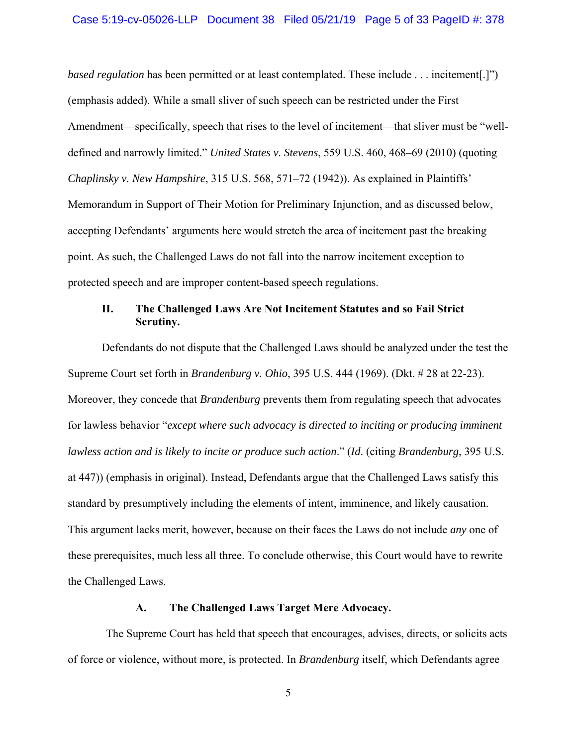### Case 5:19-cv-05026-LLP Document 38 Filed 05/21/19 Page 5 of 33 PageID #: 378

*based regulation* has been permitted or at least contemplated. These include . . . incitement[.]") (emphasis added). While a small sliver of such speech can be restricted under the First Amendment—specifically, speech that rises to the level of incitement—that sliver must be "welldefined and narrowly limited." *United States v. Stevens*, 559 U.S. 460, 468–69 (2010) (quoting *Chaplinsky v. New Hampshire*, 315 U.S. 568, 571–72 (1942)). As explained in Plaintiffs' Memorandum in Support of Their Motion for Preliminary Injunction, and as discussed below, accepting Defendants' arguments here would stretch the area of incitement past the breaking point. As such, the Challenged Laws do not fall into the narrow incitement exception to protected speech and are improper content-based speech regulations.

# **II. The Challenged Laws Are Not Incitement Statutes and so Fail Strict Scrutiny.**

Defendants do not dispute that the Challenged Laws should be analyzed under the test the Supreme Court set forth in *Brandenburg v. Ohio*, 395 U.S. 444 (1969). (Dkt. # 28 at 22-23). Moreover, they concede that *Brandenburg* prevents them from regulating speech that advocates for lawless behavior "*except where such advocacy is directed to inciting or producing imminent lawless action and is likely to incite or produce such action*." (*Id*. (citing *Brandenburg*, 395 U.S. at 447)) (emphasis in original). Instead, Defendants argue that the Challenged Laws satisfy this standard by presumptively including the elements of intent, imminence, and likely causation. This argument lacks merit, however, because on their faces the Laws do not include *any* one of these prerequisites, much less all three. To conclude otherwise, this Court would have to rewrite the Challenged Laws.

#### **A. The Challenged Laws Target Mere Advocacy.**

The Supreme Court has held that speech that encourages, advises, directs, or solicits acts of force or violence, without more, is protected. In *Brandenburg* itself, which Defendants agree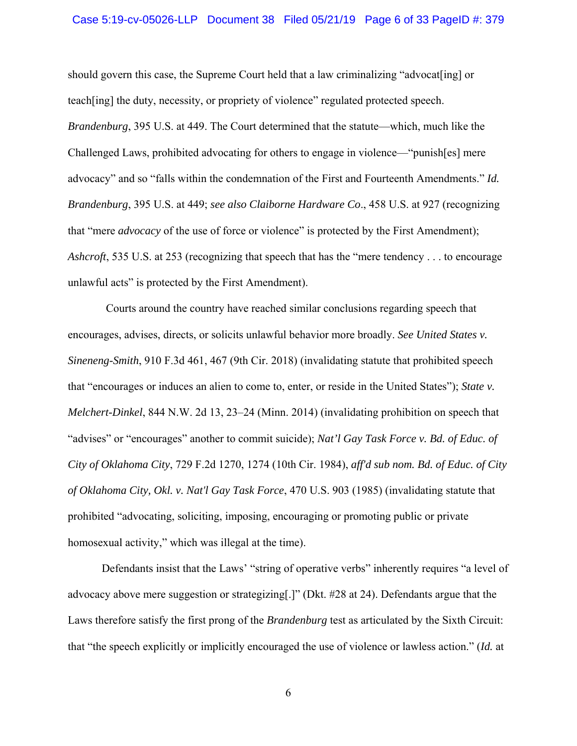#### Case 5:19-cv-05026-LLP Document 38 Filed 05/21/19 Page 6 of 33 PageID #: 379

should govern this case, the Supreme Court held that a law criminalizing "advocat [ing] or teach[ing] the duty, necessity, or propriety of violence" regulated protected speech. *Brandenburg*, 395 U.S. at 449. The Court determined that the statute—which, much like the Challenged Laws, prohibited advocating for others to engage in violence—"punish[es] mere advocacy" and so "falls within the condemnation of the First and Fourteenth Amendments." *Id. Brandenburg*, 395 U.S. at 449; *see also Claiborne Hardware Co*., 458 U.S. at 927 (recognizing that "mere *advocacy* of the use of force or violence" is protected by the First Amendment); *Ashcroft*, 535 U.S. at 253 (recognizing that speech that has the "mere tendency . . . to encourage unlawful acts" is protected by the First Amendment).

Courts around the country have reached similar conclusions regarding speech that encourages, advises, directs, or solicits unlawful behavior more broadly. *See United States v. Sineneng-Smith*, 910 F.3d 461, 467 (9th Cir. 2018) (invalidating statute that prohibited speech that "encourages or induces an alien to come to, enter, or reside in the United States"); *State v. Melchert-Dinkel*, 844 N.W. 2d 13, 23–24 (Minn. 2014) (invalidating prohibition on speech that "advises" or "encourages" another to commit suicide); *Nat'l Gay Task Force v. Bd. of Educ. of City of Oklahoma City*, 729 F.2d 1270, 1274 (10th Cir. 1984), *aff'd sub nom. Bd. of Educ. of City of Oklahoma City, Okl. v. Nat'l Gay Task Force*, 470 U.S. 903 (1985) (invalidating statute that prohibited "advocating, soliciting, imposing, encouraging or promoting public or private homosexual activity," which was illegal at the time).

Defendants insist that the Laws' "string of operative verbs" inherently requires "a level of advocacy above mere suggestion or strategizing[.]" (Dkt. #28 at 24). Defendants argue that the Laws therefore satisfy the first prong of the *Brandenburg* test as articulated by the Sixth Circuit: that "the speech explicitly or implicitly encouraged the use of violence or lawless action." (*Id.* at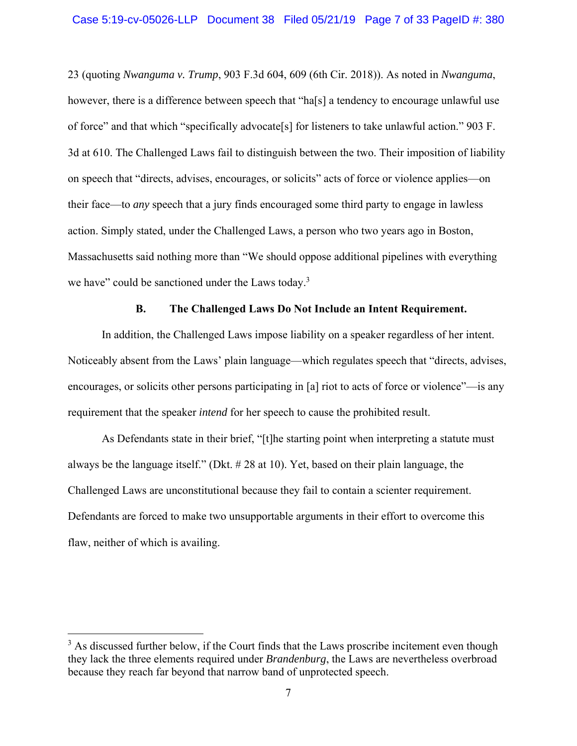23 (quoting *Nwanguma v. Trump*, 903 F.3d 604, 609 (6th Cir. 2018)). As noted in *Nwanguma*, however, there is a difference between speech that "ha[s] a tendency to encourage unlawful use of force" and that which "specifically advocate[s] for listeners to take unlawful action." 903 F. 3d at 610. The Challenged Laws fail to distinguish between the two. Their imposition of liability on speech that "directs, advises, encourages, or solicits" acts of force or violence applies—on their face—to *any* speech that a jury finds encouraged some third party to engage in lawless action. Simply stated, under the Challenged Laws, a person who two years ago in Boston, Massachusetts said nothing more than "We should oppose additional pipelines with everything we have" could be sanctioned under the Laws today. $3$ 

## **B. The Challenged Laws Do Not Include an Intent Requirement.**

 In addition, the Challenged Laws impose liability on a speaker regardless of her intent. Noticeably absent from the Laws' plain language—which regulates speech that "directs, advises, encourages, or solicits other persons participating in [a] riot to acts of force or violence"—is any requirement that the speaker *intend* for her speech to cause the prohibited result.

 As Defendants state in their brief, "[t]he starting point when interpreting a statute must always be the language itself." (Dkt. # 28 at 10). Yet, based on their plain language, the Challenged Laws are unconstitutional because they fail to contain a scienter requirement. Defendants are forced to make two unsupportable arguments in their effort to overcome this flaw, neither of which is availing.

 $3$  As discussed further below, if the Court finds that the Laws proscribe incitement even though they lack the three elements required under *Brandenburg*, the Laws are nevertheless overbroad because they reach far beyond that narrow band of unprotected speech.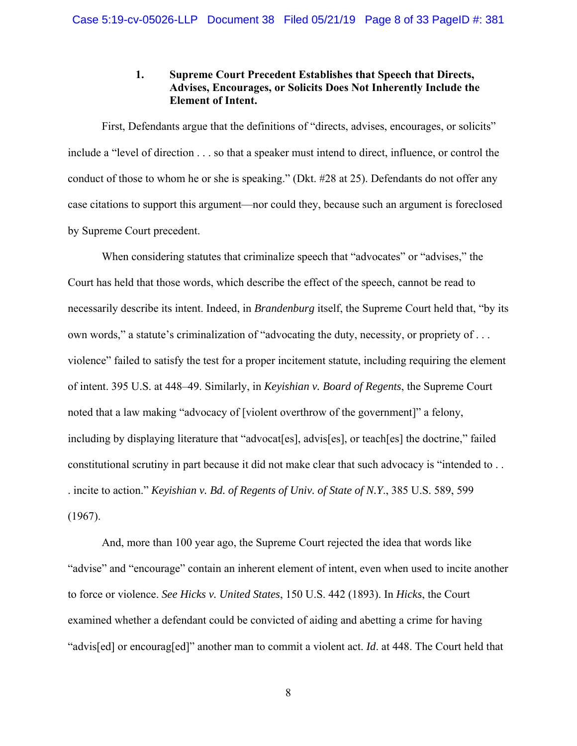# **1. Supreme Court Precedent Establishes that Speech that Directs, Advises, Encourages, or Solicits Does Not Inherently Include the Element of Intent.**

First, Defendants argue that the definitions of "directs, advises, encourages, or solicits" include a "level of direction . . . so that a speaker must intend to direct, influence, or control the conduct of those to whom he or she is speaking." (Dkt. #28 at 25). Defendants do not offer any case citations to support this argument—nor could they, because such an argument is foreclosed by Supreme Court precedent.

When considering statutes that criminalize speech that "advocates" or "advises," the Court has held that those words, which describe the effect of the speech, cannot be read to necessarily describe its intent. Indeed, in *Brandenburg* itself, the Supreme Court held that, "by its own words," a statute's criminalization of "advocating the duty, necessity, or propriety of . . . violence" failed to satisfy the test for a proper incitement statute, including requiring the element of intent. 395 U.S. at 448–49. Similarly, in *Keyishian v. Board of Regents*, the Supreme Court noted that a law making "advocacy of [violent overthrow of the government]" a felony, including by displaying literature that "advocat[es], advis[es], or teach[es] the doctrine," failed constitutional scrutiny in part because it did not make clear that such advocacy is "intended to . . . incite to action." *Keyishian v. Bd. of Regents of Univ. of State of N.Y*., 385 U.S. 589, 599 (1967).

And, more than 100 year ago, the Supreme Court rejected the idea that words like "advise" and "encourage" contain an inherent element of intent, even when used to incite another to force or violence. *See Hicks v. United States*, 150 U.S. 442 (1893). In *Hicks*, the Court examined whether a defendant could be convicted of aiding and abetting a crime for having "advis[ed] or encourag[ed]" another man to commit a violent act. *Id*. at 448. The Court held that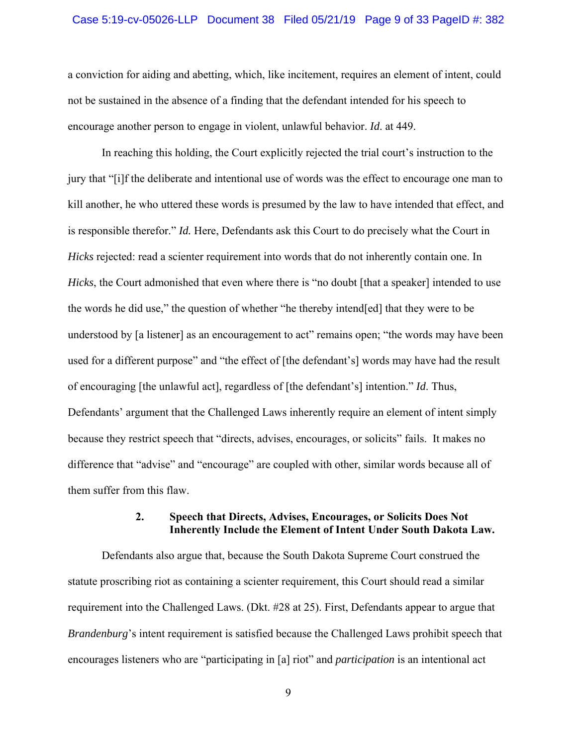#### Case 5:19-cv-05026-LLP Document 38 Filed 05/21/19 Page 9 of 33 PageID #: 382

a conviction for aiding and abetting, which, like incitement, requires an element of intent, could not be sustained in the absence of a finding that the defendant intended for his speech to encourage another person to engage in violent, unlawful behavior. *Id*. at 449.

In reaching this holding, the Court explicitly rejected the trial court's instruction to the jury that "[i]f the deliberate and intentional use of words was the effect to encourage one man to kill another, he who uttered these words is presumed by the law to have intended that effect, and is responsible therefor." *Id.* Here, Defendants ask this Court to do precisely what the Court in *Hicks* rejected: read a scienter requirement into words that do not inherently contain one. In *Hicks*, the Court admonished that even where there is "no doubt [that a speaker] intended to use the words he did use," the question of whether "he thereby intend[ed] that they were to be understood by [a listener] as an encouragement to act" remains open; "the words may have been used for a different purpose" and "the effect of [the defendant's] words may have had the result of encouraging [the unlawful act], regardless of [the defendant's] intention." *Id*. Thus, Defendants' argument that the Challenged Laws inherently require an element of intent simply because they restrict speech that "directs, advises, encourages, or solicits" fails. It makes no difference that "advise" and "encourage" are coupled with other, similar words because all of them suffer from this flaw.

## **2. Speech that Directs, Advises, Encourages, or Solicits Does Not Inherently Include the Element of Intent Under South Dakota Law.**

 Defendants also argue that, because the South Dakota Supreme Court construed the statute proscribing riot as containing a scienter requirement, this Court should read a similar requirement into the Challenged Laws. (Dkt. #28 at 25). First, Defendants appear to argue that *Brandenburg*'s intent requirement is satisfied because the Challenged Laws prohibit speech that encourages listeners who are "participating in [a] riot" and *participation* is an intentional act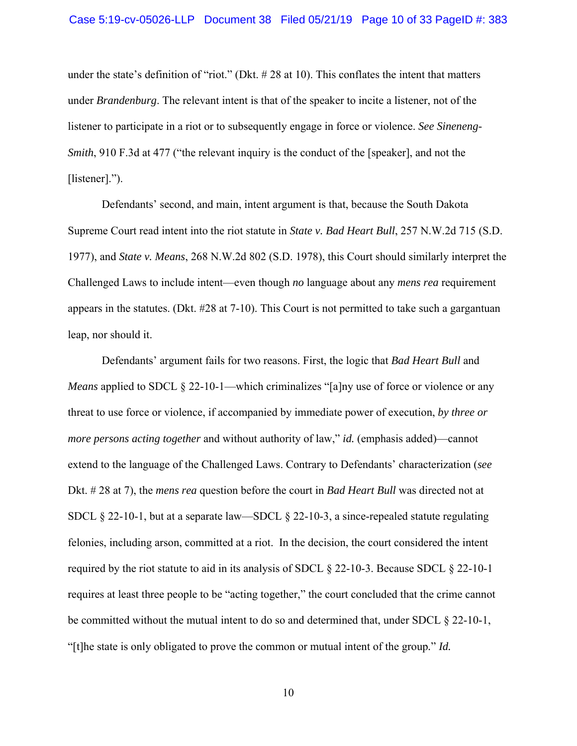under the state's definition of "riot." (Dkt. # 28 at 10). This conflates the intent that matters under *Brandenburg*. The relevant intent is that of the speaker to incite a listener, not of the listener to participate in a riot or to subsequently engage in force or violence. *See Sineneng-Smith*, 910 F.3d at 477 ("the relevant inquiry is the conduct of the [speaker], and not the [listener].").

Defendants' second, and main, intent argument is that, because the South Dakota Supreme Court read intent into the riot statute in *State v. Bad Heart Bull*, 257 N.W.2d 715 (S.D. 1977), and *State v. Means*, 268 N.W.2d 802 (S.D. 1978), this Court should similarly interpret the Challenged Laws to include intent—even though *no* language about any *mens rea* requirement appears in the statutes. (Dkt. #28 at 7-10). This Court is not permitted to take such a gargantuan leap, nor should it.

Defendants' argument fails for two reasons. First, the logic that *Bad Heart Bull* and *Means* applied to SDCL § 22-10-1—which criminalizes "[a]ny use of force or violence or any threat to use force or violence, if accompanied by immediate power of execution, *by three or more persons acting together* and without authority of law," *id.* (emphasis added)—cannot extend to the language of the Challenged Laws. Contrary to Defendants' characterization (*see*  Dkt. # 28 at 7), the *mens rea* question before the court in *Bad Heart Bull* was directed not at SDCL § 22-10-1, but at a separate law—SDCL § 22-10-3, a since-repealed statute regulating felonies, including arson, committed at a riot. In the decision, the court considered the intent required by the riot statute to aid in its analysis of SDCL § 22-10-3. Because SDCL § 22-10-1 requires at least three people to be "acting together," the court concluded that the crime cannot be committed without the mutual intent to do so and determined that, under SDCL § 22-10-1, "[t]he state is only obligated to prove the common or mutual intent of the group*.*" *Id.*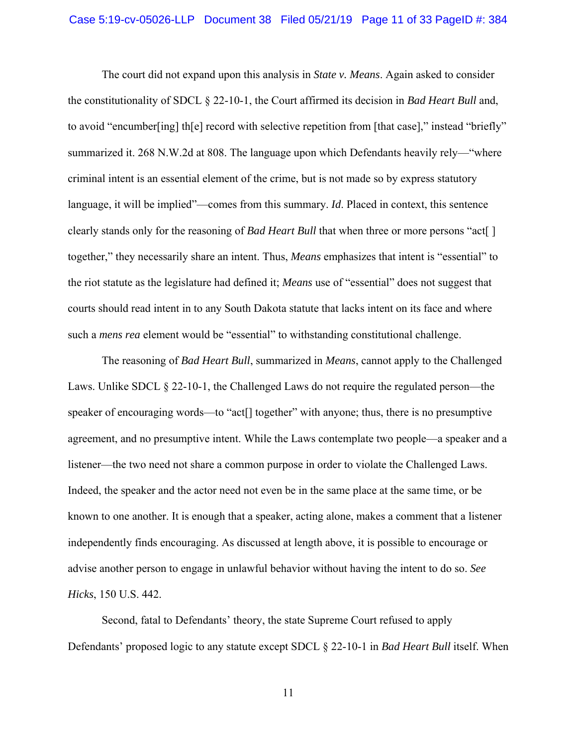The court did not expand upon this analysis in *State v. Means*. Again asked to consider the constitutionality of SDCL § 22-10-1, the Court affirmed its decision in *Bad Heart Bull* and, to avoid "encumber[ing] th[e] record with selective repetition from [that case]," instead "briefly" summarized it. 268 N.W.2d at 808. The language upon which Defendants heavily rely—"where criminal intent is an essential element of the crime, but is not made so by express statutory language, it will be implied"—comes from this summary. *Id*. Placed in context, this sentence clearly stands only for the reasoning of *Bad Heart Bull* that when three or more persons "act[ ] together," they necessarily share an intent. Thus, *Means* emphasizes that intent is "essential" to the riot statute as the legislature had defined it; *Means* use of "essential" does not suggest that courts should read intent in to any South Dakota statute that lacks intent on its face and where such a *mens rea* element would be "essential" to withstanding constitutional challenge.

The reasoning of *Bad Heart Bull*, summarized in *Means*, cannot apply to the Challenged Laws. Unlike SDCL § 22-10-1, the Challenged Laws do not require the regulated person—the speaker of encouraging words—to "act<sup>[]</sup> together" with anyone; thus, there is no presumptive agreement, and no presumptive intent. While the Laws contemplate two people—a speaker and a listener—the two need not share a common purpose in order to violate the Challenged Laws. Indeed, the speaker and the actor need not even be in the same place at the same time, or be known to one another. It is enough that a speaker, acting alone, makes a comment that a listener independently finds encouraging. As discussed at length above, it is possible to encourage or advise another person to engage in unlawful behavior without having the intent to do so. *See Hicks*, 150 U.S. 442.

Second, fatal to Defendants' theory, the state Supreme Court refused to apply Defendants' proposed logic to any statute except SDCL § 22-10-1 in *Bad Heart Bull* itself. When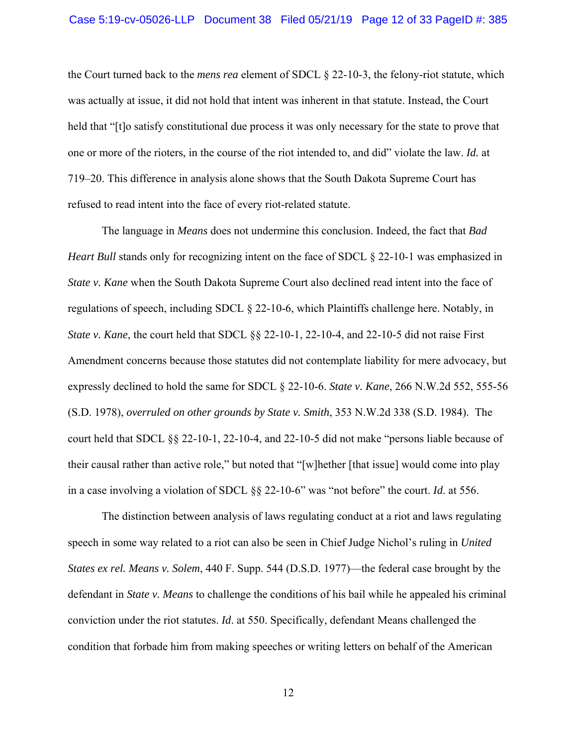the Court turned back to the *mens rea* element of SDCL § 22-10-3, the felony-riot statute, which was actually at issue, it did not hold that intent was inherent in that statute. Instead, the Court held that "[t]o satisfy constitutional due process it was only necessary for the state to prove that one or more of the rioters, in the course of the riot intended to, and did" violate the law. *Id.* at 719–20. This difference in analysis alone shows that the South Dakota Supreme Court has refused to read intent into the face of every riot-related statute.

The language in *Means* does not undermine this conclusion. Indeed, the fact that *Bad Heart Bull* stands only for recognizing intent on the face of SDCL § 22-10-1 was emphasized in *State v. Kane* when the South Dakota Supreme Court also declined read intent into the face of regulations of speech, including SDCL § 22-10-6, which Plaintiffs challenge here. Notably, in *State v. Kane*, the court held that SDCL §§ 22-10-1, 22-10-4, and 22-10-5 did not raise First Amendment concerns because those statutes did not contemplate liability for mere advocacy, but expressly declined to hold the same for SDCL § 22-10-6. *State v. Kane*, 266 N.W.2d 552, 555-56 (S.D. 1978), *overruled on other grounds by State v. Smith*, 353 N.W.2d 338 (S.D. 1984). The court held that SDCL §§ 22-10-1, 22-10-4, and 22-10-5 did not make "persons liable because of their causal rather than active role," but noted that "[w]hether [that issue] would come into play in a case involving a violation of SDCL §§ 22-10-6" was "not before" the court. *Id*. at 556.

The distinction between analysis of laws regulating conduct at a riot and laws regulating speech in some way related to a riot can also be seen in Chief Judge Nichol's ruling in *United States ex rel. Means v. Solem*, 440 F. Supp. 544 (D.S.D. 1977)—the federal case brought by the defendant in *State v. Means* to challenge the conditions of his bail while he appealed his criminal conviction under the riot statutes. *Id*. at 550. Specifically, defendant Means challenged the condition that forbade him from making speeches or writing letters on behalf of the American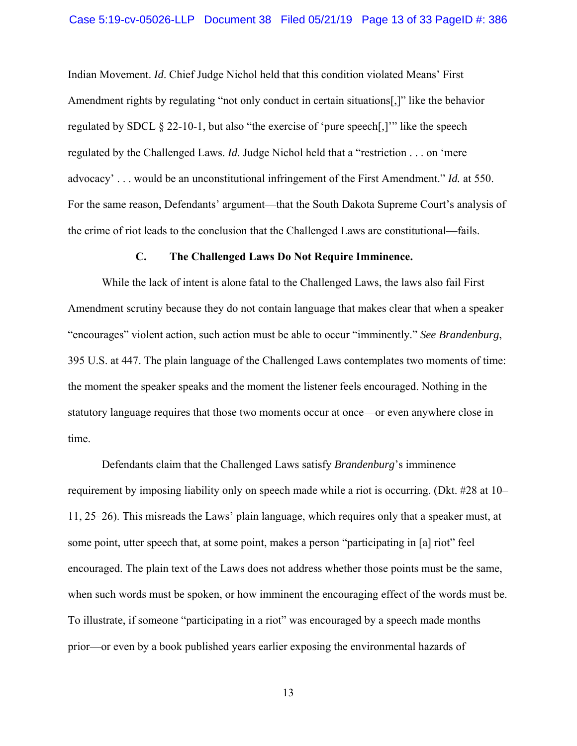Indian Movement. *Id*. Chief Judge Nichol held that this condition violated Means' First Amendment rights by regulating "not only conduct in certain situations[,]" like the behavior regulated by SDCL § 22-10-1, but also "the exercise of 'pure speech[,]'" like the speech regulated by the Challenged Laws. *Id*. Judge Nichol held that a "restriction . . . on 'mere advocacy' . . . would be an unconstitutional infringement of the First Amendment." *Id.* at 550. For the same reason, Defendants' argument—that the South Dakota Supreme Court's analysis of the crime of riot leads to the conclusion that the Challenged Laws are constitutional—fails.

#### **C. The Challenged Laws Do Not Require Imminence.**

While the lack of intent is alone fatal to the Challenged Laws, the laws also fail First Amendment scrutiny because they do not contain language that makes clear that when a speaker "encourages" violent action, such action must be able to occur "imminently." *See Brandenburg*, 395 U.S. at 447. The plain language of the Challenged Laws contemplates two moments of time: the moment the speaker speaks and the moment the listener feels encouraged. Nothing in the statutory language requires that those two moments occur at once—or even anywhere close in time.

Defendants claim that the Challenged Laws satisfy *Brandenburg*'s imminence requirement by imposing liability only on speech made while a riot is occurring. (Dkt. #28 at 10– 11, 25–26). This misreads the Laws' plain language, which requires only that a speaker must, at some point, utter speech that, at some point, makes a person "participating in [a] riot" feel encouraged. The plain text of the Laws does not address whether those points must be the same, when such words must be spoken, or how imminent the encouraging effect of the words must be. To illustrate, if someone "participating in a riot" was encouraged by a speech made months prior—or even by a book published years earlier exposing the environmental hazards of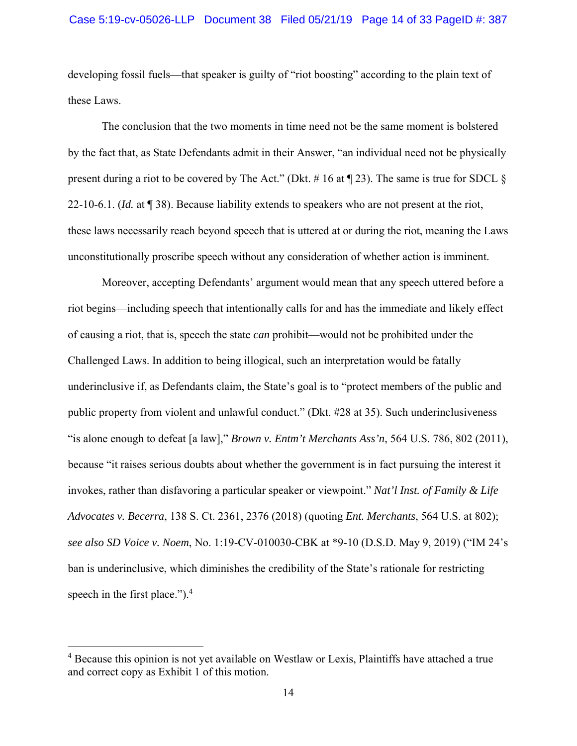developing fossil fuels—that speaker is guilty of "riot boosting" according to the plain text of these Laws.

The conclusion that the two moments in time need not be the same moment is bolstered by the fact that, as State Defendants admit in their Answer, "an individual need not be physically present during a riot to be covered by The Act." (Dkt. # 16 at  $\P$  23). The same is true for SDCL  $\S$ 22-10-6.1. (*Id.* at ¶ 38). Because liability extends to speakers who are not present at the riot, these laws necessarily reach beyond speech that is uttered at or during the riot, meaning the Laws unconstitutionally proscribe speech without any consideration of whether action is imminent.

Moreover, accepting Defendants' argument would mean that any speech uttered before a riot begins—including speech that intentionally calls for and has the immediate and likely effect of causing a riot, that is, speech the state *can* prohibit—would not be prohibited under the Challenged Laws. In addition to being illogical, such an interpretation would be fatally underinclusive if, as Defendants claim, the State's goal is to "protect members of the public and public property from violent and unlawful conduct." (Dkt. #28 at 35). Such underinclusiveness "is alone enough to defeat [a law]," *Brown v. Entm't Merchants Ass'n*, 564 U.S. 786, 802 (2011), because "it raises serious doubts about whether the government is in fact pursuing the interest it invokes, rather than disfavoring a particular speaker or viewpoint." *Nat'l Inst. of Family & Life Advocates v. Becerra*, 138 S. Ct. 2361, 2376 (2018) (quoting *Ent. Merchants*, 564 U.S. at 802); *see also SD Voice v. Noem*, No. 1:19-CV-010030-CBK at \*9-10 (D.S.D. May 9, 2019) ("IM 24's ban is underinclusive, which diminishes the credibility of the State's rationale for restricting speech in the first place."). $4$ 

<sup>&</sup>lt;sup>4</sup> Because this opinion is not yet available on Westlaw or Lexis, Plaintiffs have attached a true and correct copy as Exhibit 1 of this motion.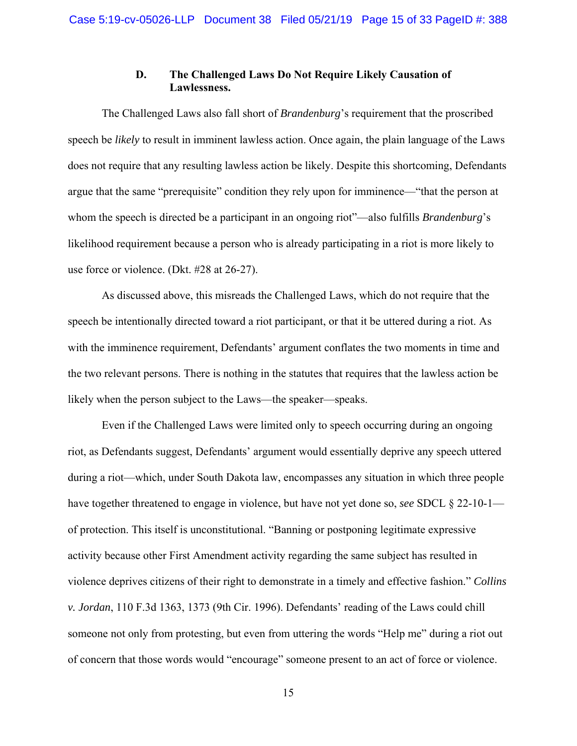# **D. The Challenged Laws Do Not Require Likely Causation of Lawlessness.**

The Challenged Laws also fall short of *Brandenburg*'s requirement that the proscribed speech be *likely* to result in imminent lawless action. Once again, the plain language of the Laws does not require that any resulting lawless action be likely. Despite this shortcoming, Defendants argue that the same "prerequisite" condition they rely upon for imminence—"that the person at whom the speech is directed be a participant in an ongoing riot"—also fulfills *Brandenburg*'s likelihood requirement because a person who is already participating in a riot is more likely to use force or violence. (Dkt. #28 at 26-27).

As discussed above, this misreads the Challenged Laws, which do not require that the speech be intentionally directed toward a riot participant, or that it be uttered during a riot. As with the imminence requirement, Defendants' argument conflates the two moments in time and the two relevant persons. There is nothing in the statutes that requires that the lawless action be likely when the person subject to the Laws—the speaker—speaks.

Even if the Challenged Laws were limited only to speech occurring during an ongoing riot, as Defendants suggest, Defendants' argument would essentially deprive any speech uttered during a riot—which, under South Dakota law, encompasses any situation in which three people have together threatened to engage in violence, but have not yet done so, *see* SDCL § 22-10-1 of protection. This itself is unconstitutional. "Banning or postponing legitimate expressive activity because other First Amendment activity regarding the same subject has resulted in violence deprives citizens of their right to demonstrate in a timely and effective fashion." *Collins v. Jordan*, 110 F.3d 1363, 1373 (9th Cir. 1996). Defendants' reading of the Laws could chill someone not only from protesting, but even from uttering the words "Help me" during a riot out of concern that those words would "encourage" someone present to an act of force or violence.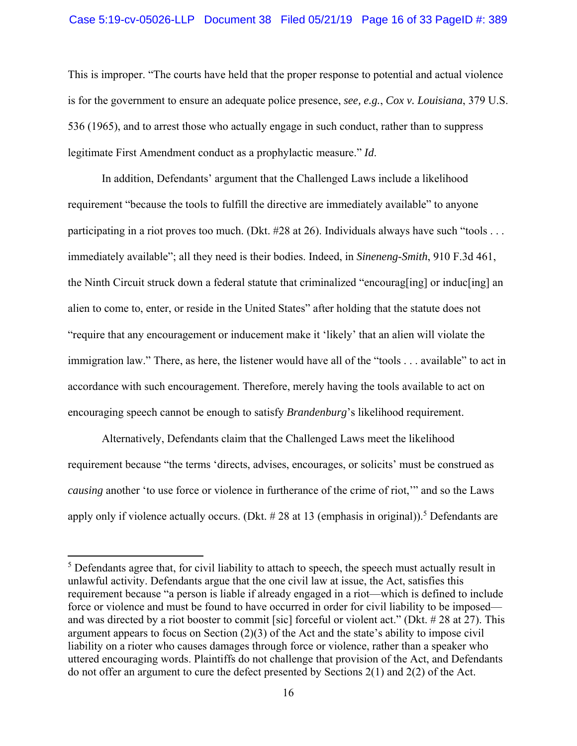### Case 5:19-cv-05026-LLP Document 38 Filed 05/21/19 Page 16 of 33 PageID #: 389

This is improper. "The courts have held that the proper response to potential and actual violence is for the government to ensure an adequate police presence, *see, e.g.*, *Cox v. Louisiana*, 379 U.S. 536 (1965), and to arrest those who actually engage in such conduct, rather than to suppress legitimate First Amendment conduct as a prophylactic measure." *Id*.

 In addition, Defendants' argument that the Challenged Laws include a likelihood requirement "because the tools to fulfill the directive are immediately available" to anyone participating in a riot proves too much. (Dkt. #28 at 26). Individuals always have such "tools . . . immediately available"; all they need is their bodies. Indeed, in *Sineneng-Smith*, 910 F.3d 461, the Ninth Circuit struck down a federal statute that criminalized "encourag[ing] or induc[ing] an alien to come to, enter, or reside in the United States" after holding that the statute does not "require that any encouragement or inducement make it 'likely' that an alien will violate the immigration law." There, as here, the listener would have all of the "tools . . . available" to act in accordance with such encouragement. Therefore, merely having the tools available to act on encouraging speech cannot be enough to satisfy *Brandenburg*'s likelihood requirement.

Alternatively, Defendants claim that the Challenged Laws meet the likelihood requirement because "the terms 'directs, advises, encourages, or solicits' must be construed as *causing* another 'to use force or violence in furtherance of the crime of riot,'" and so the Laws apply only if violence actually occurs. (Dkt.  $\# 28$  at 13 (emphasis in original)).<sup>5</sup> Defendants are

<sup>&</sup>lt;sup>5</sup> Defendants agree that, for civil liability to attach to speech, the speech must actually result in unlawful activity. Defendants argue that the one civil law at issue, the Act, satisfies this requirement because "a person is liable if already engaged in a riot—which is defined to include force or violence and must be found to have occurred in order for civil liability to be imposed and was directed by a riot booster to commit [sic] forceful or violent act." (Dkt. # 28 at 27). This argument appears to focus on Section (2)(3) of the Act and the state's ability to impose civil liability on a rioter who causes damages through force or violence, rather than a speaker who uttered encouraging words. Plaintiffs do not challenge that provision of the Act, and Defendants do not offer an argument to cure the defect presented by Sections  $2(1)$  and  $2(2)$  of the Act.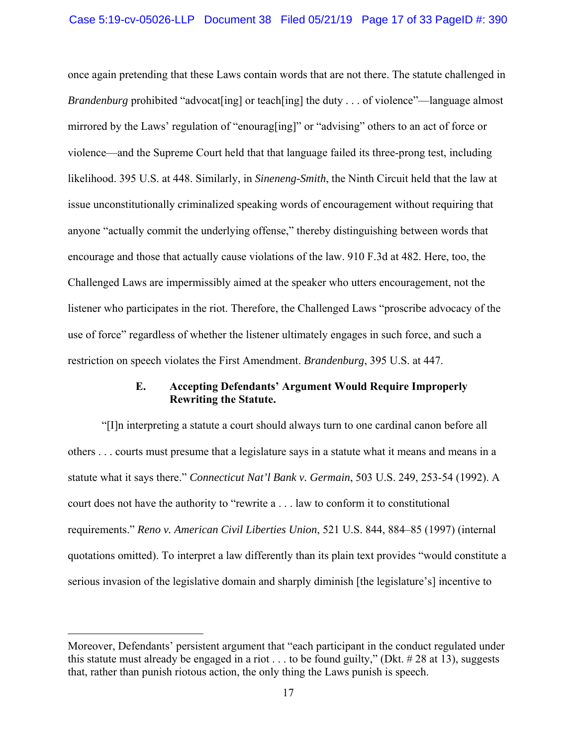once again pretending that these Laws contain words that are not there. The statute challenged in *Brandenburg* prohibited "advocat[ing] or teach[ing] the duty . . . of violence"—language almost mirrored by the Laws' regulation of "enourag[ing]" or "advising" others to an act of force or violence—and the Supreme Court held that that language failed its three-prong test, including likelihood. 395 U.S. at 448. Similarly, in *Sineneng-Smith*, the Ninth Circuit held that the law at issue unconstitutionally criminalized speaking words of encouragement without requiring that anyone "actually commit the underlying offense," thereby distinguishing between words that encourage and those that actually cause violations of the law. 910 F.3d at 482. Here, too, the Challenged Laws are impermissibly aimed at the speaker who utters encouragement, not the listener who participates in the riot. Therefore, the Challenged Laws "proscribe advocacy of the use of force" regardless of whether the listener ultimately engages in such force, and such a restriction on speech violates the First Amendment. *Brandenburg*, 395 U.S. at 447.

# **E. Accepting Defendants' Argument Would Require Improperly Rewriting the Statute.**

"[I]n interpreting a statute a court should always turn to one cardinal canon before all others . . . courts must presume that a legislature says in a statute what it means and means in a statute what it says there." *Connecticut Nat'l Bank v. Germain*, 503 U.S. 249, 253-54 (1992). A court does not have the authority to "rewrite a . . . law to conform it to constitutional requirements." *Reno v. American Civil Liberties Union*, 521 U.S. 844, 884–85 (1997) (internal quotations omitted). To interpret a law differently than its plain text provides "would constitute a serious invasion of the legislative domain and sharply diminish [the legislature's] incentive to

Moreover, Defendants' persistent argument that "each participant in the conduct regulated under this statute must already be engaged in a riot  $\dots$  to be found guilty," (Dkt. #28 at 13), suggests that, rather than punish riotous action, the only thing the Laws punish is speech.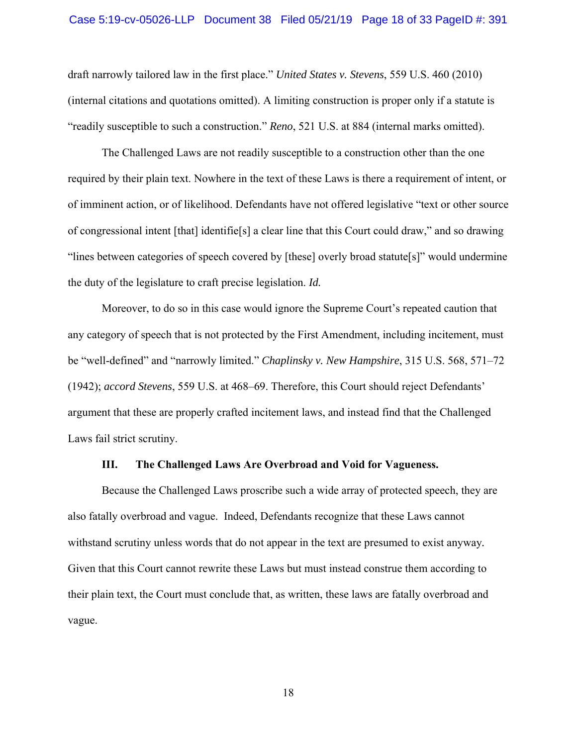draft narrowly tailored law in the first place." *United States v. Stevens*, 559 U.S. 460 (2010) (internal citations and quotations omitted). A limiting construction is proper only if a statute is "readily susceptible to such a construction." *Reno*, 521 U.S. at 884 (internal marks omitted).

The Challenged Laws are not readily susceptible to a construction other than the one required by their plain text. Nowhere in the text of these Laws is there a requirement of intent, or of imminent action, or of likelihood. Defendants have not offered legislative "text or other source of congressional intent [that] identifie[s] a clear line that this Court could draw," and so drawing "lines between categories of speech covered by [these] overly broad statute[s]" would undermine the duty of the legislature to craft precise legislation. *Id.* 

Moreover, to do so in this case would ignore the Supreme Court's repeated caution that any category of speech that is not protected by the First Amendment, including incitement, must be "well-defined" and "narrowly limited." *Chaplinsky v. New Hampshire*, 315 U.S. 568, 571–72 (1942); *accord Stevens*, 559 U.S. at 468–69. Therefore, this Court should reject Defendants' argument that these are properly crafted incitement laws, and instead find that the Challenged Laws fail strict scrutiny.

### **III. The Challenged Laws Are Overbroad and Void for Vagueness.**

Because the Challenged Laws proscribe such a wide array of protected speech, they are also fatally overbroad and vague. Indeed, Defendants recognize that these Laws cannot withstand scrutiny unless words that do not appear in the text are presumed to exist anyway*.* Given that this Court cannot rewrite these Laws but must instead construe them according to their plain text, the Court must conclude that, as written, these laws are fatally overbroad and vague.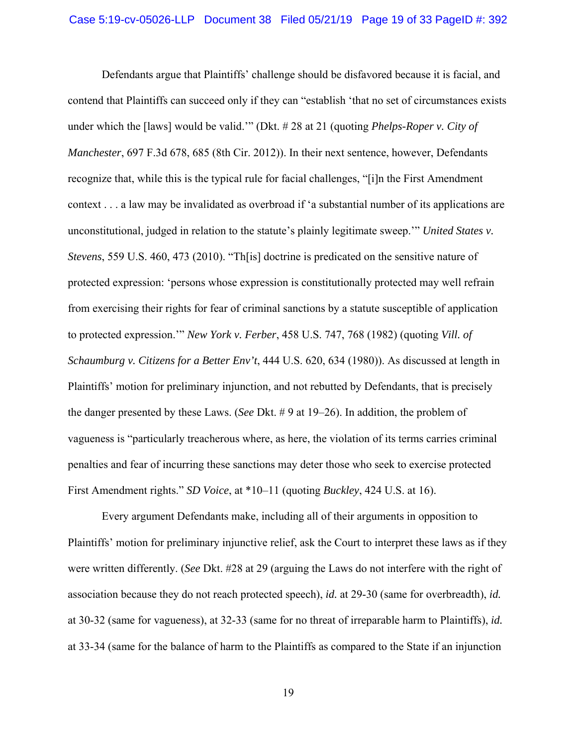Defendants argue that Plaintiffs' challenge should be disfavored because it is facial, and contend that Plaintiffs can succeed only if they can "establish 'that no set of circumstances exists under which the [laws] would be valid.'" (Dkt. # 28 at 21 (quoting *Phelps-Roper v. City of Manchester*, 697 F.3d 678, 685 (8th Cir. 2012)). In their next sentence, however, Defendants recognize that, while this is the typical rule for facial challenges, "[i]n the First Amendment context . . . a law may be invalidated as overbroad if 'a substantial number of its applications are unconstitutional, judged in relation to the statute's plainly legitimate sweep.'" *United States v. Stevens*, 559 U.S. 460, 473 (2010). "Th[is] doctrine is predicated on the sensitive nature of protected expression: 'persons whose expression is constitutionally protected may well refrain from exercising their rights for fear of criminal sanctions by a statute susceptible of application to protected expression.'" *New York v. Ferber*, 458 U.S. 747, 768 (1982) (quoting *Vill. of Schaumburg v. Citizens for a Better Env't*, 444 U.S. 620, 634 (1980)). As discussed at length in Plaintiffs' motion for preliminary injunction, and not rebutted by Defendants, that is precisely the danger presented by these Laws. (*See* Dkt. # 9 at 19–26). In addition, the problem of vagueness is "particularly treacherous where, as here, the violation of its terms carries criminal penalties and fear of incurring these sanctions may deter those who seek to exercise protected First Amendment rights." *SD Voice*, at \*10–11 (quoting *Buckley*, 424 U.S. at 16).

Every argument Defendants make, including all of their arguments in opposition to Plaintiffs' motion for preliminary injunctive relief, ask the Court to interpret these laws as if they were written differently. (*See* Dkt. #28 at 29 (arguing the Laws do not interfere with the right of association because they do not reach protected speech), *id.* at 29-30 (same for overbreadth), *id.*  at 30-32 (same for vagueness), at 32-33 (same for no threat of irreparable harm to Plaintiffs), *id.*  at 33-34 (same for the balance of harm to the Plaintiffs as compared to the State if an injunction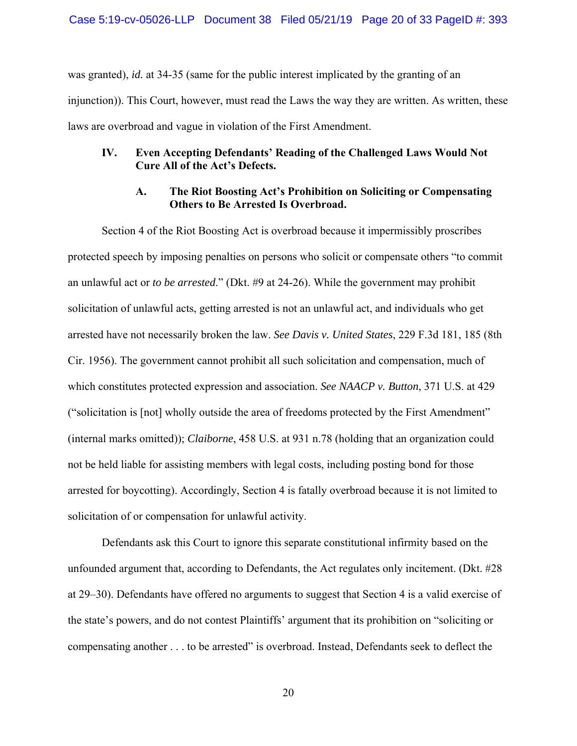was granted), *id.* at 34-35 (same for the public interest implicated by the granting of an injunction)). This Court, however, must read the Laws the way they are written. As written, these laws are overbroad and vague in violation of the First Amendment.

## **IV. Even Accepting Defendants' Reading of the Challenged Laws Would Not Cure All of the Act's Defects.**

### **A. The Riot Boosting Act's Prohibition on Soliciting or Compensating Others to Be Arrested Is Overbroad.**

Section 4 of the Riot Boosting Act is overbroad because it impermissibly proscribes protected speech by imposing penalties on persons who solicit or compensate others "to commit an unlawful act or *to be arrested*." (Dkt. #9 at 24-26). While the government may prohibit solicitation of unlawful acts, getting arrested is not an unlawful act, and individuals who get arrested have not necessarily broken the law. *See Davis v. United States*, 229 F.3d 181, 185 (8th Cir. 1956). The government cannot prohibit all such solicitation and compensation, much of which constitutes protected expression and association. *See NAACP v. Button*, 371 U.S. at 429 ("solicitation is [not] wholly outside the area of freedoms protected by the First Amendment" (internal marks omitted)); *Claiborne*, 458 U.S. at 931 n.78 (holding that an organization could not be held liable for assisting members with legal costs, including posting bond for those arrested for boycotting). Accordingly, Section 4 is fatally overbroad because it is not limited to solicitation of or compensation for unlawful activity.

Defendants ask this Court to ignore this separate constitutional infirmity based on the unfounded argument that, according to Defendants, the Act regulates only incitement. (Dkt. #28 at 29–30). Defendants have offered no arguments to suggest that Section 4 is a valid exercise of the state's powers, and do not contest Plaintiffs' argument that its prohibition on "soliciting or compensating another . . . to be arrested" is overbroad. Instead, Defendants seek to deflect the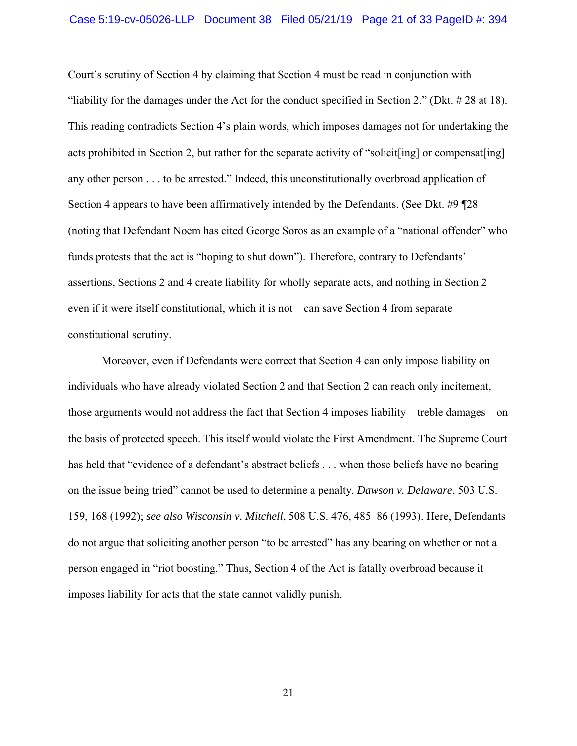#### Case 5:19-cv-05026-LLP Document 38 Filed 05/21/19 Page 21 of 33 PageID #: 394

Court's scrutiny of Section 4 by claiming that Section 4 must be read in conjunction with "liability for the damages under the Act for the conduct specified in Section 2." (Dkt. # 28 at 18). This reading contradicts Section 4's plain words, which imposes damages not for undertaking the acts prohibited in Section 2, but rather for the separate activity of "solicit[ing] or compensat[ing] any other person . . . to be arrested." Indeed, this unconstitutionally overbroad application of Section 4 appears to have been affirmatively intended by the Defendants. (See Dkt. #9 ¶28 (noting that Defendant Noem has cited George Soros as an example of a "national offender" who funds protests that the act is "hoping to shut down"). Therefore, contrary to Defendants' assertions, Sections 2 and 4 create liability for wholly separate acts, and nothing in Section 2 even if it were itself constitutional, which it is not—can save Section 4 from separate constitutional scrutiny.

Moreover, even if Defendants were correct that Section 4 can only impose liability on individuals who have already violated Section 2 and that Section 2 can reach only incitement, those arguments would not address the fact that Section 4 imposes liability—treble damages—on the basis of protected speech. This itself would violate the First Amendment. The Supreme Court has held that "evidence of a defendant's abstract beliefs ... when those beliefs have no bearing on the issue being tried" cannot be used to determine a penalty. *Dawson v. Delaware*, 503 U.S. 159, 168 (1992); *see also Wisconsin v. Mitchell*, 508 U.S. 476, 485–86 (1993). Here, Defendants do not argue that soliciting another person "to be arrested" has any bearing on whether or not a person engaged in "riot boosting." Thus, Section 4 of the Act is fatally overbroad because it imposes liability for acts that the state cannot validly punish.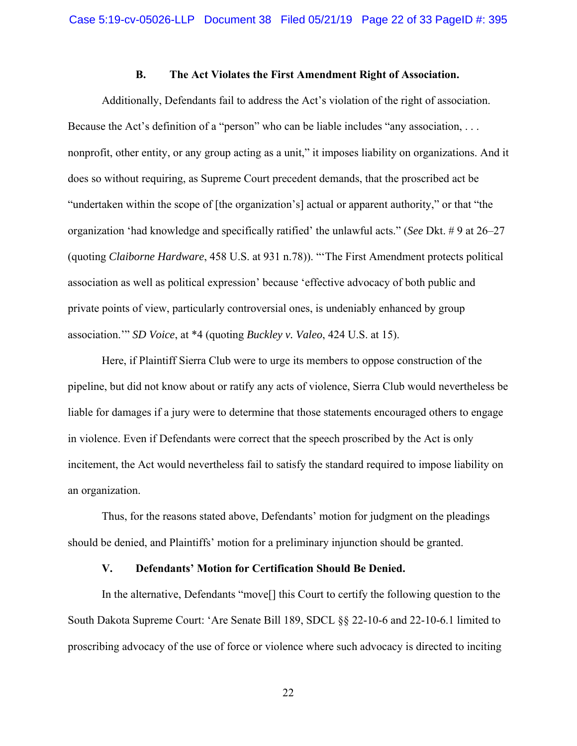### **B. The Act Violates the First Amendment Right of Association.**

Additionally, Defendants fail to address the Act's violation of the right of association. Because the Act's definition of a "person" who can be liable includes "any association, ... nonprofit, other entity, or any group acting as a unit," it imposes liability on organizations. And it does so without requiring, as Supreme Court precedent demands, that the proscribed act be "undertaken within the scope of [the organization's] actual or apparent authority," or that "the organization 'had knowledge and specifically ratified' the unlawful acts." (*See* Dkt. # 9 at 26–27 (quoting *Claiborne Hardware*, 458 U.S. at 931 n.78)). "'The First Amendment protects political association as well as political expression' because 'effective advocacy of both public and private points of view, particularly controversial ones, is undeniably enhanced by group association.'" *SD Voice*, at \*4 (quoting *Buckley v. Valeo*, 424 U.S. at 15).

Here, if Plaintiff Sierra Club were to urge its members to oppose construction of the pipeline, but did not know about or ratify any acts of violence, Sierra Club would nevertheless be liable for damages if a jury were to determine that those statements encouraged others to engage in violence. Even if Defendants were correct that the speech proscribed by the Act is only incitement, the Act would nevertheless fail to satisfy the standard required to impose liability on an organization.

Thus, for the reasons stated above, Defendants' motion for judgment on the pleadings should be denied, and Plaintiffs' motion for a preliminary injunction should be granted.

### **V. Defendants' Motion for Certification Should Be Denied.**

In the alternative, Defendants "move[] this Court to certify the following question to the South Dakota Supreme Court: 'Are Senate Bill 189, SDCL §§ 22-10-6 and 22-10-6.1 limited to proscribing advocacy of the use of force or violence where such advocacy is directed to inciting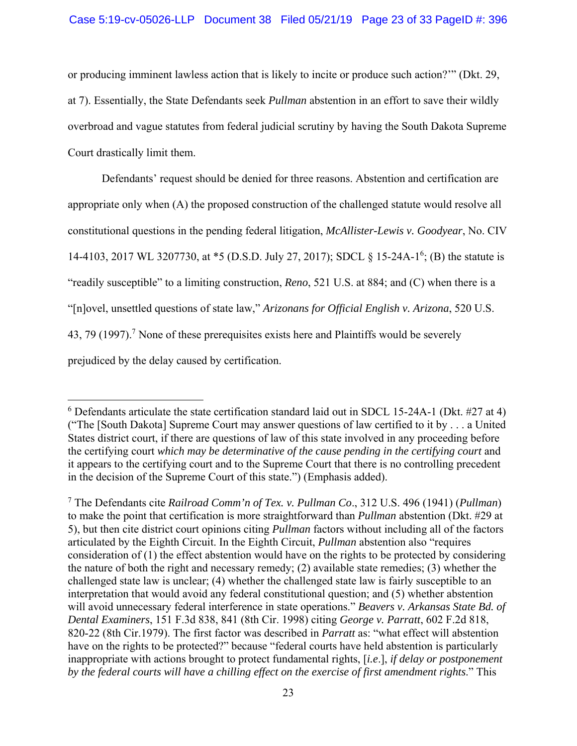or producing imminent lawless action that is likely to incite or produce such action?'" (Dkt. 29, at 7). Essentially, the State Defendants seek *Pullman* abstention in an effort to save their wildly overbroad and vague statutes from federal judicial scrutiny by having the South Dakota Supreme Court drastically limit them.

Defendants' request should be denied for three reasons. Abstention and certification are appropriate only when (A) the proposed construction of the challenged statute would resolve all constitutional questions in the pending federal litigation, *McAllister-Lewis v. Goodyear*, No. CIV 14-4103, 2017 WL 3207730, at \*5 (D.S.D. July 27, 2017); SDCL § 15-24A-1<sup>6</sup>; (B) the statute is "readily susceptible" to a limiting construction, *Reno*, 521 U.S. at 884; and (C) when there is a "[n]ovel, unsettled questions of state law," *Arizonans for Official English v. Arizona*, 520 U.S.  $43, 79$  (1997).<sup>7</sup> None of these prerequisites exists here and Plaintiffs would be severely prejudiced by the delay caused by certification.

 $6$  Defendants articulate the state certification standard laid out in SDCL 15-24A-1 (Dkt. #27 at 4) ("The [South Dakota] Supreme Court may answer questions of law certified to it by . . . a United States district court, if there are questions of law of this state involved in any proceeding before the certifying court *which may be determinative of the cause pending in the certifying court* and it appears to the certifying court and to the Supreme Court that there is no controlling precedent in the decision of the Supreme Court of this state.") (Emphasis added).

<sup>7</sup> The Defendants cite *Railroad Comm'n of Tex. v. Pullman Co*., 312 U.S. 496 (1941) (*Pullman*) to make the point that certification is more straightforward than *Pullman* abstention (Dkt. #29 at 5), but then cite district court opinions citing *Pullman* factors without including all of the factors articulated by the Eighth Circuit. In the Eighth Circuit, *Pullman* abstention also "requires consideration of (1) the effect abstention would have on the rights to be protected by considering the nature of both the right and necessary remedy; (2) available state remedies; (3) whether the challenged state law is unclear; (4) whether the challenged state law is fairly susceptible to an interpretation that would avoid any federal constitutional question; and (5) whether abstention will avoid unnecessary federal interference in state operations." *Beavers v. Arkansas State Bd. of Dental Examiners*, 151 F.3d 838, 841 (8th Cir. 1998) citing *George v. Parratt*, 602 F.2d 818, 820-22 (8th Cir.1979). The first factor was described in *Parratt* as: "what effect will abstention have on the rights to be protected?" because "federal courts have held abstention is particularly inappropriate with actions brought to protect fundamental rights, [*i.e*.], *if delay or postponement by the federal courts will have a chilling effect on the exercise of first amendment rights*." This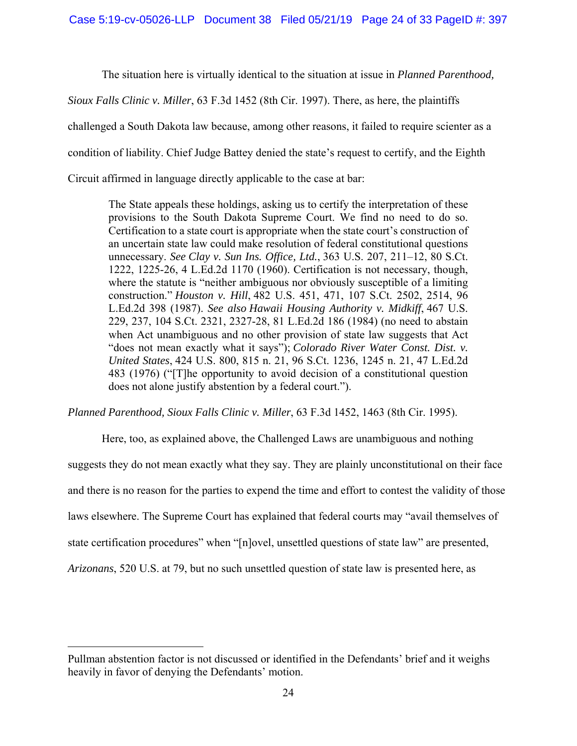The situation here is virtually identical to the situation at issue in *Planned Parenthood,* 

*Sioux Falls Clinic v. Miller*, 63 F.3d 1452 (8th Cir. 1997). There, as here, the plaintiffs

challenged a South Dakota law because, among other reasons, it failed to require scienter as a

condition of liability. Chief Judge Battey denied the state's request to certify, and the Eighth

Circuit affirmed in language directly applicable to the case at bar:

The State appeals these holdings, asking us to certify the interpretation of these provisions to the South Dakota Supreme Court. We find no need to do so. Certification to a state court is appropriate when the state court's construction of an uncertain state law could make resolution of federal constitutional questions unnecessary. *See Clay v. Sun Ins. Office, Ltd.*, 363 U.S. 207, 211–12, 80 S.Ct. 1222, 1225-26, 4 L.Ed.2d 1170 (1960). Certification is not necessary, though, where the statute is "neither ambiguous nor obviously susceptible of a limiting construction." *Houston v. Hill*, 482 U.S. 451, 471, 107 S.Ct. 2502, 2514, 96 L.Ed.2d 398 (1987). *See also Hawaii Housing Authority v. Midkiff*, 467 U.S. 229, 237, 104 S.Ct. 2321, 2327-28, 81 L.Ed.2d 186 (1984) (no need to abstain when Act unambiguous and no other provision of state law suggests that Act "does not mean exactly what it says"); *Colorado River Water Const. Dist. v. United States*, 424 U.S. 800, 815 n. 21, 96 S.Ct. 1236, 1245 n. 21, 47 L.Ed.2d 483 (1976) ("[T]he opportunity to avoid decision of a constitutional question does not alone justify abstention by a federal court.").

*Planned Parenthood, Sioux Falls Clinic v. Miller*, 63 F.3d 1452, 1463 (8th Cir. 1995).

Here, too, as explained above, the Challenged Laws are unambiguous and nothing suggests they do not mean exactly what they say. They are plainly unconstitutional on their face and there is no reason for the parties to expend the time and effort to contest the validity of those laws elsewhere. The Supreme Court has explained that federal courts may "avail themselves of state certification procedures" when "[n]ovel, unsettled questions of state law" are presented, *Arizonans*, 520 U.S. at 79, but no such unsettled question of state law is presented here, as

Pullman abstention factor is not discussed or identified in the Defendants' brief and it weighs heavily in favor of denying the Defendants' motion.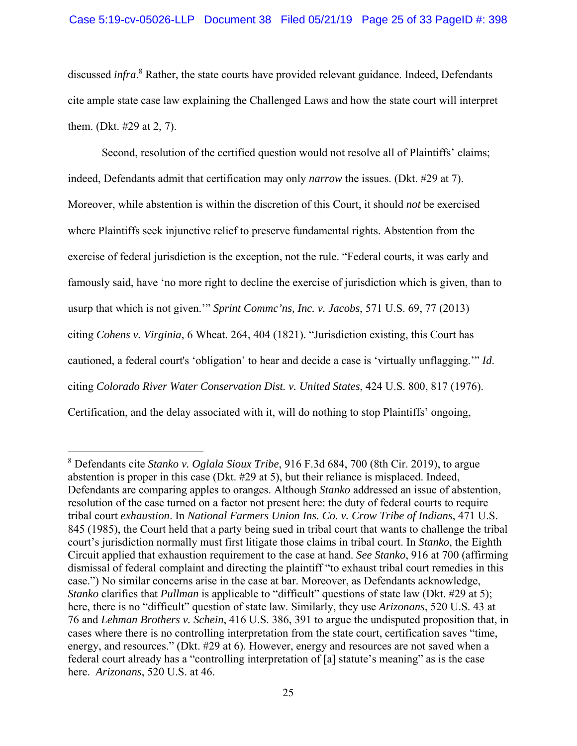discussed *infra*. 8 Rather, the state courts have provided relevant guidance. Indeed, Defendants cite ample state case law explaining the Challenged Laws and how the state court will interpret them. (Dkt. #29 at 2, 7).

Second, resolution of the certified question would not resolve all of Plaintiffs' claims; indeed, Defendants admit that certification may only *narrow* the issues. (Dkt. #29 at 7). Moreover, while abstention is within the discretion of this Court, it should *not* be exercised where Plaintiffs seek injunctive relief to preserve fundamental rights. Abstention from the exercise of federal jurisdiction is the exception, not the rule. "Federal courts, it was early and famously said, have 'no more right to decline the exercise of jurisdiction which is given, than to usurp that which is not given.'" *Sprint Commc'ns, Inc. v. Jacobs*, 571 U.S. 69, 77 (2013) citing *Cohens v. Virginia*, 6 Wheat. 264, 404 (1821). "Jurisdiction existing, this Court has cautioned, a federal court's 'obligation' to hear and decide a case is 'virtually unflagging.'" *Id*. citing *Colorado River Water Conservation Dist. v. United States*, 424 U.S. 800, 817 (1976). Certification, and the delay associated with it, will do nothing to stop Plaintiffs' ongoing,

<sup>8</sup> Defendants cite *Stanko v. Oglala Sioux Tribe*, 916 F.3d 684, 700 (8th Cir. 2019), to argue abstention is proper in this case (Dkt. #29 at 5), but their reliance is misplaced. Indeed, Defendants are comparing apples to oranges. Although *Stanko* addressed an issue of abstention, resolution of the case turned on a factor not present here: the duty of federal courts to require tribal court *exhaustion*. In *National Farmers Union Ins. Co. v. Crow Tribe of Indians*, 471 U.S. 845 (1985), the Court held that a party being sued in tribal court that wants to challenge the tribal court's jurisdiction normally must first litigate those claims in tribal court. In *Stanko*, the Eighth Circuit applied that exhaustion requirement to the case at hand. *See Stanko*, 916 at 700 (affirming dismissal of federal complaint and directing the plaintiff "to exhaust tribal court remedies in this case.") No similar concerns arise in the case at bar. Moreover, as Defendants acknowledge, *Stanko* clarifies that *Pullman* is applicable to "difficult" questions of state law (Dkt. #29 at 5); here, there is no "difficult" question of state law. Similarly, they use *Arizonans*, 520 U.S. 43 at 76 and *Lehman Brothers v. Schein*, 416 U.S. 386, 391 to argue the undisputed proposition that, in cases where there is no controlling interpretation from the state court, certification saves "time, energy, and resources." (Dkt. #29 at 6). However, energy and resources are not saved when a federal court already has a "controlling interpretation of [a] statute's meaning" as is the case here. *Arizonans*, 520 U.S. at 46.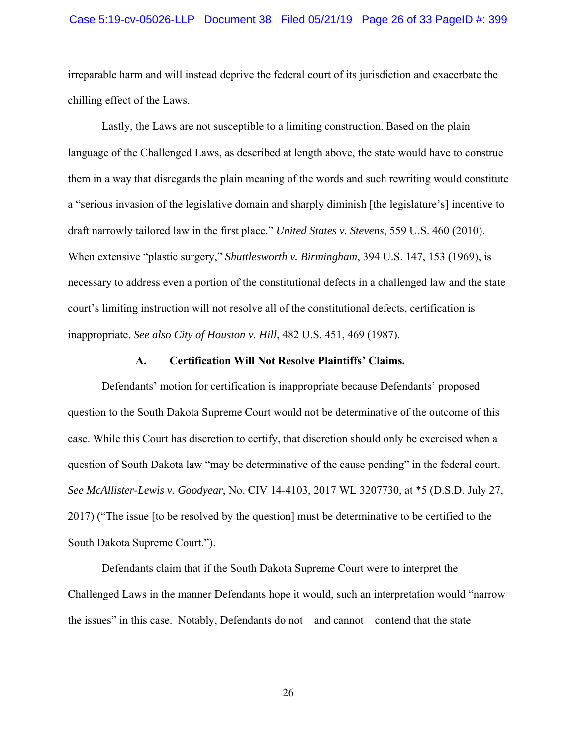### Case 5:19-cv-05026-LLP Document 38 Filed 05/21/19 Page 26 of 33 PageID #: 399

irreparable harm and will instead deprive the federal court of its jurisdiction and exacerbate the chilling effect of the Laws.

Lastly, the Laws are not susceptible to a limiting construction. Based on the plain language of the Challenged Laws, as described at length above, the state would have to construe them in a way that disregards the plain meaning of the words and such rewriting would constitute a "serious invasion of the legislative domain and sharply diminish [the legislature's] incentive to draft narrowly tailored law in the first place." *United States v. Stevens*, 559 U.S. 460 (2010). When extensive "plastic surgery," *Shuttlesworth v. Birmingham*, 394 U.S. 147, 153 (1969), is necessary to address even a portion of the constitutional defects in a challenged law and the state court's limiting instruction will not resolve all of the constitutional defects, certification is inappropriate. *See also City of Houston v. Hill*, 482 U.S. 451, 469 (1987).

#### **A. Certification Will Not Resolve Plaintiffs' Claims.**

Defendants' motion for certification is inappropriate because Defendants' proposed question to the South Dakota Supreme Court would not be determinative of the outcome of this case. While this Court has discretion to certify, that discretion should only be exercised when a question of South Dakota law "may be determinative of the cause pending" in the federal court. *See McAllister-Lewis v. Goodyear*, No. CIV 14-4103, 2017 WL 3207730, at \*5 (D.S.D. July 27, 2017) ("The issue [to be resolved by the question] must be determinative to be certified to the South Dakota Supreme Court.").

Defendants claim that if the South Dakota Supreme Court were to interpret the Challenged Laws in the manner Defendants hope it would, such an interpretation would "narrow the issues" in this case. Notably, Defendants do not—and cannot—contend that the state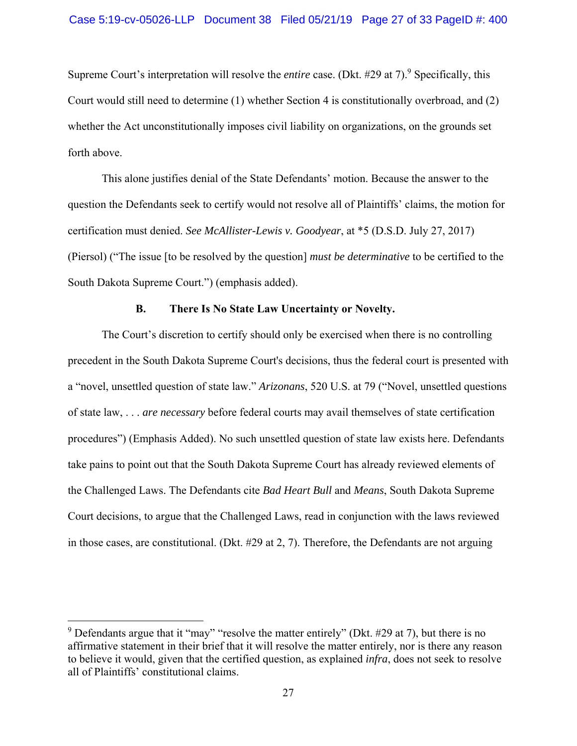Supreme Court's interpretation will resolve the *entire* case. (Dkt. #29 at 7).<sup>9</sup> Specifically, this Court would still need to determine (1) whether Section 4 is constitutionally overbroad, and (2) whether the Act unconstitutionally imposes civil liability on organizations, on the grounds set forth above.

This alone justifies denial of the State Defendants' motion. Because the answer to the question the Defendants seek to certify would not resolve all of Plaintiffs' claims, the motion for certification must denied. *See McAllister-Lewis v. Goodyear*, at \*5 (D.S.D. July 27, 2017) (Piersol) ("The issue [to be resolved by the question] *must be determinative* to be certified to the South Dakota Supreme Court.") (emphasis added).

# **B. There Is No State Law Uncertainty or Novelty.**

The Court's discretion to certify should only be exercised when there is no controlling precedent in the South Dakota Supreme Court's decisions, thus the federal court is presented with a "novel, unsettled question of state law." *Arizonans*, 520 U.S. at 79 ("Novel, unsettled questions of state law, . . . *are necessary* before federal courts may avail themselves of state certification procedures") (Emphasis Added). No such unsettled question of state law exists here. Defendants take pains to point out that the South Dakota Supreme Court has already reviewed elements of the Challenged Laws. The Defendants cite *Bad Heart Bull* and *Means*, South Dakota Supreme Court decisions, to argue that the Challenged Laws, read in conjunction with the laws reviewed in those cases, are constitutional. (Dkt. #29 at 2, 7). Therefore, the Defendants are not arguing

<sup>&</sup>lt;sup>9</sup> Defendants argue that it "may" "resolve the matter entirely" (Dkt. #29 at 7), but there is no affirmative statement in their brief that it will resolve the matter entirely, nor is there any reason to believe it would, given that the certified question, as explained *infra*, does not seek to resolve all of Plaintiffs' constitutional claims.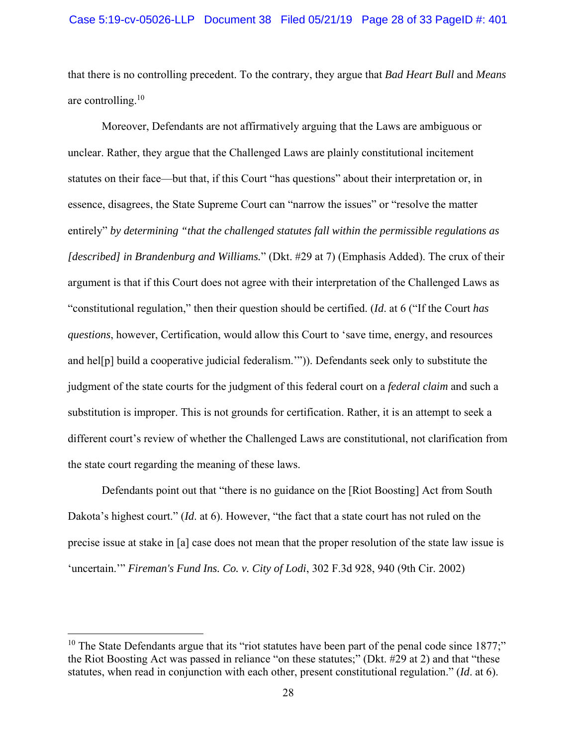that there is no controlling precedent. To the contrary, they argue that *Bad Heart Bull* and *Means* are controlling.<sup>10</sup>

Moreover, Defendants are not affirmatively arguing that the Laws are ambiguous or unclear. Rather, they argue that the Challenged Laws are plainly constitutional incitement statutes on their face—but that, if this Court "has questions" about their interpretation or, in essence, disagrees, the State Supreme Court can "narrow the issues" or "resolve the matter entirely" *by determining "that the challenged statutes fall within the permissible regulations as [described] in Brandenburg and Williams.*" (Dkt. #29 at 7) (Emphasis Added). The crux of their argument is that if this Court does not agree with their interpretation of the Challenged Laws as "constitutional regulation," then their question should be certified. (*Id*. at 6 ("If the Court *has questions*, however, Certification, would allow this Court to 'save time, energy, and resources and hel[p] build a cooperative judicial federalism.'")). Defendants seek only to substitute the judgment of the state courts for the judgment of this federal court on a *federal claim* and such a substitution is improper. This is not grounds for certification. Rather, it is an attempt to seek a different court's review of whether the Challenged Laws are constitutional, not clarification from the state court regarding the meaning of these laws.

Defendants point out that "there is no guidance on the [Riot Boosting] Act from South Dakota's highest court." (*Id*. at 6). However, "the fact that a state court has not ruled on the precise issue at stake in [a] case does not mean that the proper resolution of the state law issue is 'uncertain.'" *Fireman's Fund Ins. Co. v. City of Lodi*, 302 F.3d 928, 940 (9th Cir. 2002)

<sup>&</sup>lt;sup>10</sup> The State Defendants argue that its "riot statutes have been part of the penal code since 1877;" the Riot Boosting Act was passed in reliance "on these statutes;" (Dkt. #29 at 2) and that "these statutes, when read in conjunction with each other, present constitutional regulation." (*Id*. at 6).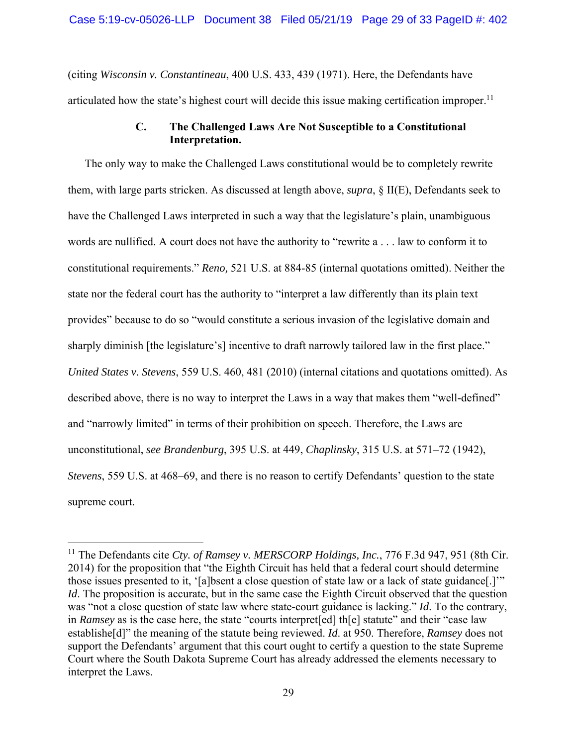(citing *Wisconsin v. Constantineau*, 400 U.S. 433, 439 (1971). Here, the Defendants have articulated how the state's highest court will decide this issue making certification improper.<sup>11</sup>

### **C. The Challenged Laws Are Not Susceptible to a Constitutional Interpretation.**

The only way to make the Challenged Laws constitutional would be to completely rewrite them, with large parts stricken. As discussed at length above, *supra*, § II(E), Defendants seek to have the Challenged Laws interpreted in such a way that the legislature's plain, unambiguous words are nullified. A court does not have the authority to "rewrite a . . . law to conform it to constitutional requirements." *Reno,* 521 U.S. at 884-85 (internal quotations omitted). Neither the state nor the federal court has the authority to "interpret a law differently than its plain text provides" because to do so "would constitute a serious invasion of the legislative domain and sharply diminish [the legislature's] incentive to draft narrowly tailored law in the first place." *United States v. Stevens*, 559 U.S. 460, 481 (2010) (internal citations and quotations omitted). As described above, there is no way to interpret the Laws in a way that makes them "well-defined" and "narrowly limited" in terms of their prohibition on speech. Therefore, the Laws are unconstitutional, *see Brandenburg*, 395 U.S. at 449, *Chaplinsky*, 315 U.S. at 571–72 (1942), *Stevens*, 559 U.S. at 468–69, and there is no reason to certify Defendants' question to the state supreme court.

<sup>&</sup>lt;sup>11</sup> The Defendants cite *Cty. of Ramsey v. MERSCORP Holdings, Inc.*, 776 F.3d 947, 951 (8th Cir. 2014) for the proposition that "the Eighth Circuit has held that a federal court should determine those issues presented to it, '[a]bsent a close question of state law or a lack of state guidance[.]'" *Id*. The proposition is accurate, but in the same case the Eighth Circuit observed that the question was "not a close question of state law where state-court guidance is lacking." *Id*. To the contrary, in *Ramsey* as is the case here, the state "courts interpret[ed] th[e] statute" and their "case law establishe[d]" the meaning of the statute being reviewed. *Id*. at 950. Therefore, *Ramsey* does not support the Defendants' argument that this court ought to certify a question to the state Supreme Court where the South Dakota Supreme Court has already addressed the elements necessary to interpret the Laws.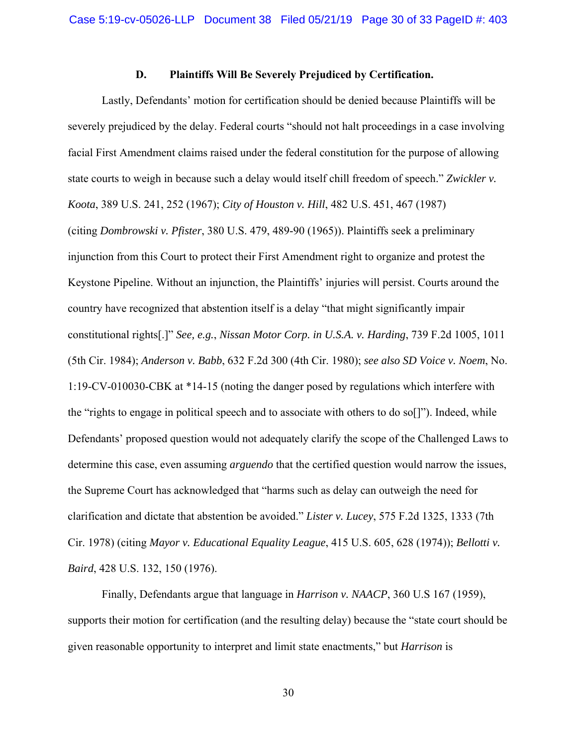### **D. Plaintiffs Will Be Severely Prejudiced by Certification.**

Lastly, Defendants' motion for certification should be denied because Plaintiffs will be severely prejudiced by the delay. Federal courts "should not halt proceedings in a case involving facial First Amendment claims raised under the federal constitution for the purpose of allowing state courts to weigh in because such a delay would itself chill freedom of speech." *Zwickler v. Koota*, 389 U.S. 241, 252 (1967); *City of Houston v. Hill*, 482 U.S. 451, 467 (1987) (citing *Dombrowski v. Pfister*, 380 U.S. 479, 489-90 (1965)). Plaintiffs seek a preliminary injunction from this Court to protect their First Amendment right to organize and protest the Keystone Pipeline. Without an injunction, the Plaintiffs' injuries will persist. Courts around the country have recognized that abstention itself is a delay "that might significantly impair constitutional rights[.]" *See, e.g.*, *Nissan Motor Corp. in U.S.A. v. Harding*, 739 F.2d 1005, 1011 (5th Cir. 1984); *Anderson v. Babb*, 632 F.2d 300 (4th Cir. 1980); *see also SD Voice v. Noem*, No. 1:19-CV-010030-CBK at \*14-15 (noting the danger posed by regulations which interfere with the "rights to engage in political speech and to associate with others to do so[]"). Indeed, while Defendants' proposed question would not adequately clarify the scope of the Challenged Laws to determine this case, even assuming *arguendo* that the certified question would narrow the issues, the Supreme Court has acknowledged that "harms such as delay can outweigh the need for clarification and dictate that abstention be avoided." *Lister v. Lucey*, 575 F.2d 1325, 1333 (7th Cir. 1978) (citing *Mayor v. Educational Equality League*, 415 U.S. 605, 628 (1974)); *Bellotti v. Baird*, 428 U.S. 132, 150 (1976).

Finally, Defendants argue that language in *Harrison v. NAACP*, 360 U.S 167 (1959), supports their motion for certification (and the resulting delay) because the "state court should be given reasonable opportunity to interpret and limit state enactments," but *Harrison* is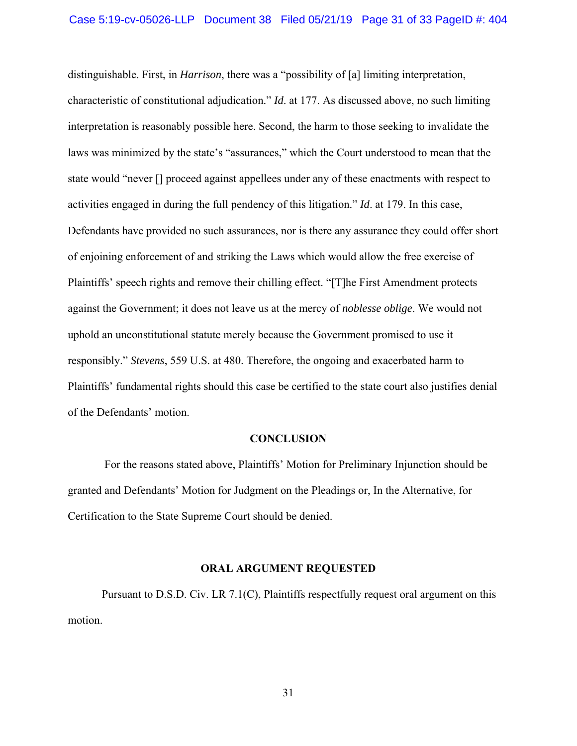distinguishable. First, in *Harrison*, there was a "possibility of [a] limiting interpretation, characteristic of constitutional adjudication." *Id*. at 177. As discussed above, no such limiting interpretation is reasonably possible here. Second, the harm to those seeking to invalidate the laws was minimized by the state's "assurances," which the Court understood to mean that the state would "never [] proceed against appellees under any of these enactments with respect to activities engaged in during the full pendency of this litigation." *Id*. at 179. In this case, Defendants have provided no such assurances, nor is there any assurance they could offer short of enjoining enforcement of and striking the Laws which would allow the free exercise of Plaintiffs' speech rights and remove their chilling effect. "[T]he First Amendment protects against the Government; it does not leave us at the mercy of *noblesse oblige*. We would not uphold an unconstitutional statute merely because the Government promised to use it responsibly." *Stevens*, 559 U.S. at 480. Therefore, the ongoing and exacerbated harm to Plaintiffs' fundamental rights should this case be certified to the state court also justifies denial of the Defendants' motion.

#### **CONCLUSION**

 For the reasons stated above, Plaintiffs' Motion for Preliminary Injunction should be granted and Defendants' Motion for Judgment on the Pleadings or, In the Alternative, for Certification to the State Supreme Court should be denied.

#### **ORAL ARGUMENT REQUESTED**

Pursuant to D.S.D. Civ. LR 7.1(C), Plaintiffs respectfully request oral argument on this motion.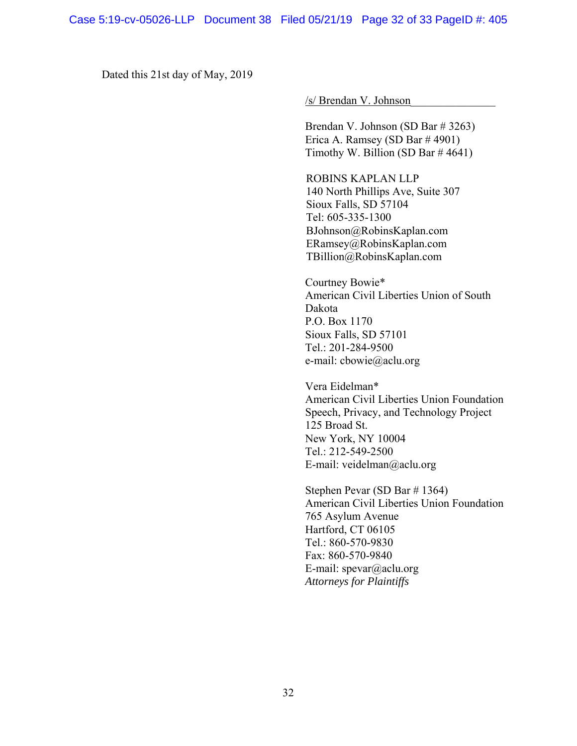Dated this 21st day of May, 2019

/s/ Brendan V. Johnson\_\_\_\_\_\_\_\_\_\_\_\_\_\_\_

Brendan V. Johnson (SD Bar # 3263) Erica A. Ramsey (SD Bar # 4901) Timothy W. Billion (SD Bar  $\#$  4641)

ROBINS KAPLAN LLP 140 North Phillips Ave, Suite 307 Sioux Falls, SD 57104 Tel: 605-335-1300 BJohnson@RobinsKaplan.com ERamsey@RobinsKaplan.com TBillion@RobinsKaplan.com

 Courtney Bowie\* American Civil Liberties Union of South Dakota P.O. Box 1170 Sioux Falls, SD 57101 Tel.: 201-284-9500 e-mail: cbowie@aclu.org

Vera Eidelman\* American Civil Liberties Union Foundation Speech, Privacy, and Technology Project 125 Broad St. New York, NY 10004 Tel.: 212-549-2500 E-mail: veidelman@aclu.org

 Stephen Pevar (SD Bar # 1364) American Civil Liberties Union Foundation 765 Asylum Avenue Hartford, CT 06105 Tel.: 860-570-9830 Fax: 860-570-9840 E-mail: spevar@aclu.org *Attorneys for Plaintiffs*